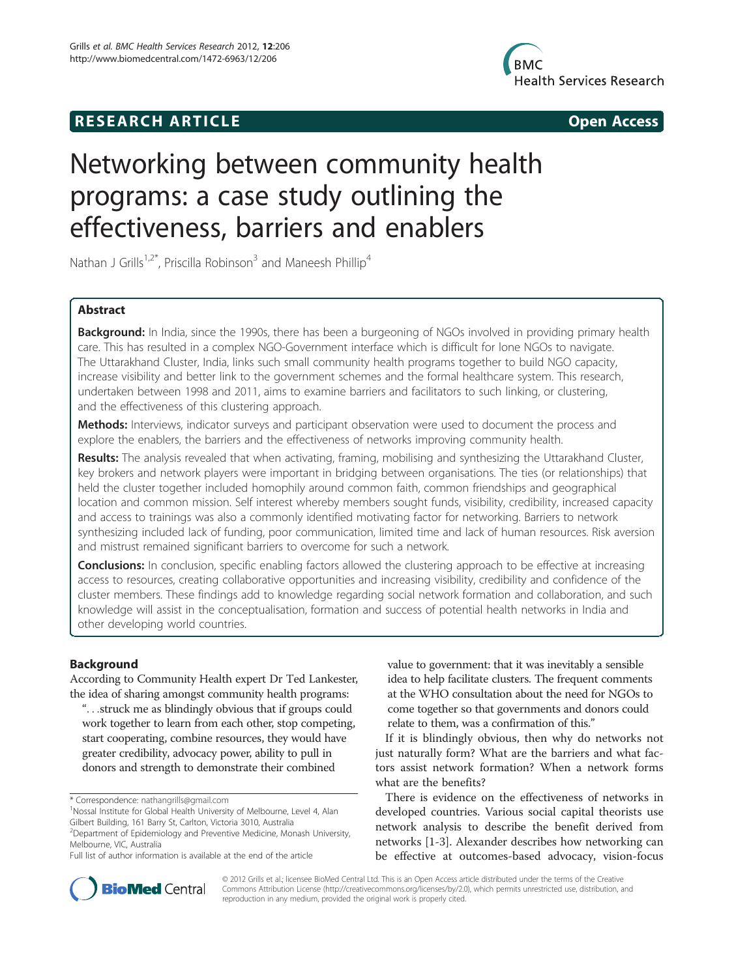## **RESEARCH ARTICLE Example 2014 CONSIDERING CONSIDERING CONSIDERING CONSIDERING CONSIDERING CONSIDERING CONSIDERING CONSIDERING CONSIDERING CONSIDERING CONSIDERING CONSIDERING CONSIDERING CONSIDERING CONSIDERING CONSIDE**



# Networking between community health programs: a case study outlining the effectiveness, barriers and enablers

Nathan J Grills<sup>1,2\*</sup>, Priscilla Robinson<sup>3</sup> and Maneesh Phillip<sup>4</sup>

## Abstract

Background: In India, since the 1990s, there has been a burgeoning of NGOs involved in providing primary health care. This has resulted in a complex NGO-Government interface which is difficult for lone NGOs to navigate. The Uttarakhand Cluster, India, links such small community health programs together to build NGO capacity, increase visibility and better link to the government schemes and the formal healthcare system. This research, undertaken between 1998 and 2011, aims to examine barriers and facilitators to such linking, or clustering, and the effectiveness of this clustering approach.

Methods: Interviews, indicator surveys and participant observation were used to document the process and explore the enablers, the barriers and the effectiveness of networks improving community health.

Results: The analysis revealed that when activating, framing, mobilising and synthesizing the Uttarakhand Cluster, key brokers and network players were important in bridging between organisations. The ties (or relationships) that held the cluster together included homophily around common faith, common friendships and geographical location and common mission. Self interest whereby members sought funds, visibility, credibility, increased capacity and access to trainings was also a commonly identified motivating factor for networking. Barriers to network synthesizing included lack of funding, poor communication, limited time and lack of human resources. Risk aversion and mistrust remained significant barriers to overcome for such a network.

**Conclusions:** In conclusion, specific enabling factors allowed the clustering approach to be effective at increasing access to resources, creating collaborative opportunities and increasing visibility, credibility and confidence of the cluster members. These findings add to knowledge regarding social network formation and collaboration, and such knowledge will assist in the conceptualisation, formation and success of potential health networks in India and other developing world countries.

## Background

According to Community Health expert Dr Ted Lankester, the idea of sharing amongst community health programs:

"...struck me as blindingly obvious that if groups could work together to learn from each other, stop competing, start cooperating, combine resources, they would have greater credibility, advocacy power, ability to pull in donors and strength to demonstrate their combined

<sup>1</sup>Nossal Institute for Global Health University of Melbourne, Level 4, Alan Gilbert Building, 161 Barry St, Carlton, Victoria 3010, Australia

value to government: that it was inevitably a sensible idea to help facilitate clusters. The frequent comments at the WHO consultation about the need for NGOs to come together so that governments and donors could relate to them, was a confirmation of this."

If it is blindingly obvious, then why do networks not just naturally form? What are the barriers and what factors assist network formation? When a network forms what are the benefits?

There is evidence on the effectiveness of networks in developed countries. Various social capital theorists use network analysis to describe the benefit derived from networks [\[1](#page-10-0)-[3\]](#page-10-0). Alexander describes how networking can be effective at outcomes-based advocacy, vision-focus



© 2012 Grills et al.; licensee BioMed Central Ltd. This is an Open Access article distributed under the terms of the Creative Commons Attribution License [\(http://creativecommons.org/licenses/by/2.0\)](http://creativecommons.org/licenses/by/2.0), which permits unrestricted use, distribution, and reproduction in any medium, provided the original work is properly cited.

<sup>\*</sup> Correspondence: [nathangrills@gmail.com](mailto:nathangrills@gmail.com) <sup>1</sup>

<sup>2</sup> Department of Epidemiology and Preventive Medicine, Monash University, Melbourne, VIC, Australia

Full list of author information is available at the end of the article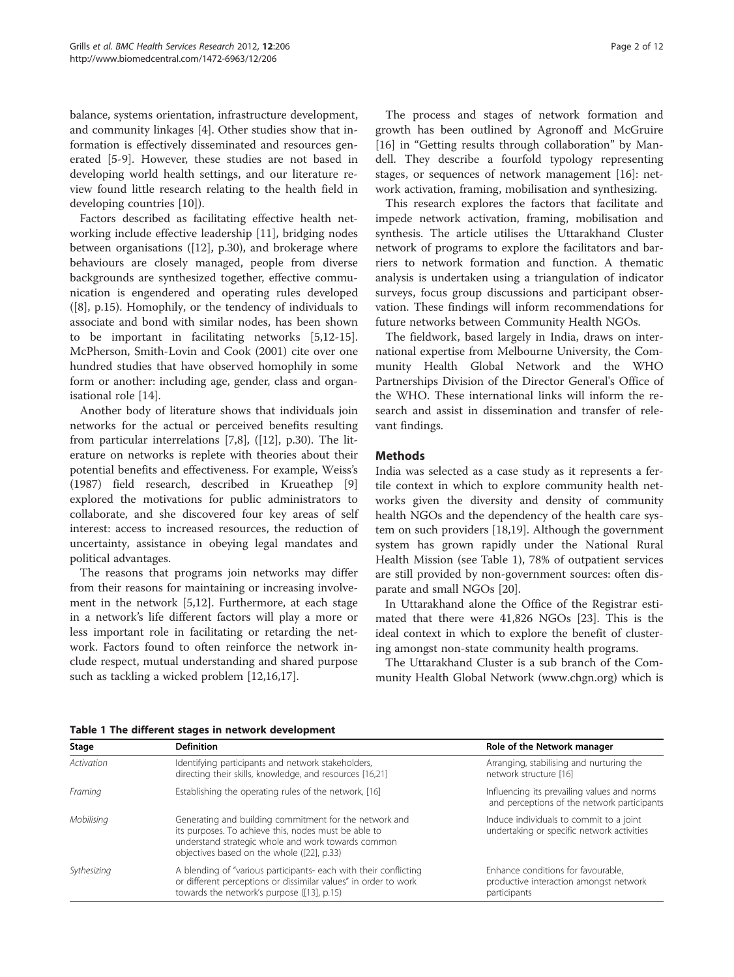balance, systems orientation, infrastructure development, and community linkages [[4\]](#page-10-0). Other studies show that information is effectively disseminated and resources generated [\[5](#page-10-0)-[9\]](#page-11-0). However, these studies are not based in developing world health settings, and our literature review found little research relating to the health field in developing countries [[10\]](#page-11-0)).

Factors described as facilitating effective health networking include effective leadership [\[11\]](#page-11-0), bridging nodes between organisations ([\[12](#page-11-0)], p.30), and brokerage where behaviours are closely managed, people from diverse backgrounds are synthesized together, effective communication is engendered and operating rules developed ([\[8\]](#page-11-0), p.15). Homophily, or the tendency of individuals to associate and bond with similar nodes, has been shown to be important in facilitating networks [[5,](#page-10-0)[12-15](#page-11-0)]. McPherson, Smith-Lovin and Cook (2001) cite over one hundred studies that have observed homophily in some form or another: including age, gender, class and organisational role [\[14](#page-11-0)].

Another body of literature shows that individuals join networks for the actual or perceived benefits resulting from particular interrelations [\[7](#page-10-0)[,8](#page-11-0)], ([\[12\]](#page-11-0), p.30). The literature on networks is replete with theories about their potential benefits and effectiveness. For example, Weiss's (1987) field research, described in Krueathep [\[9](#page-11-0)] explored the motivations for public administrators to collaborate, and she discovered four key areas of self interest: access to increased resources, the reduction of uncertainty, assistance in obeying legal mandates and political advantages.

The reasons that programs join networks may differ from their reasons for maintaining or increasing involvement in the network [[5](#page-10-0),[12](#page-11-0)]. Furthermore, at each stage in a network's life different factors will play a more or less important role in facilitating or retarding the network. Factors found to often reinforce the network include respect, mutual understanding and shared purpose such as tackling a wicked problem [[12,16](#page-11-0),[17](#page-11-0)].

The process and stages of network formation and growth has been outlined by Agronoff and McGruire [[16\]](#page-11-0) in "Getting results through collaboration" by Mandell. They describe a fourfold typology representing stages, or sequences of network management [[16\]](#page-11-0): network activation, framing, mobilisation and synthesizing.

This research explores the factors that facilitate and impede network activation, framing, mobilisation and synthesis. The article utilises the Uttarakhand Cluster network of programs to explore the facilitators and barriers to network formation and function. A thematic analysis is undertaken using a triangulation of indicator surveys, focus group discussions and participant observation. These findings will inform recommendations for future networks between Community Health NGOs.

The fieldwork, based largely in India, draws on international expertise from Melbourne University, the Community Health Global Network and the WHO Partnerships Division of the Director General's Office of the WHO. These international links will inform the research and assist in dissemination and transfer of relevant findings.

## Methods

India was selected as a case study as it represents a fertile context in which to explore community health networks given the diversity and density of community health NGOs and the dependency of the health care system on such providers [[18](#page-11-0),[19](#page-11-0)]. Although the government system has grown rapidly under the National Rural Health Mission (see Table 1), 78% of outpatient services are still provided by non-government sources: often disparate and small NGOs [[20](#page-11-0)].

In Uttarakhand alone the Office of the Registrar estimated that there were 41,826 NGOs [[23](#page-11-0)]. This is the ideal context in which to explore the benefit of clustering amongst non-state community health programs.

The Uttarakhand Cluster is a sub branch of the Community Health Global Network ([www.chgn.org](http://www.chgn.org)) which is

|  |  |  |  |  |  | Table 1 The different stages in network development |
|--|--|--|--|--|--|-----------------------------------------------------|
|--|--|--|--|--|--|-----------------------------------------------------|

| Stage       | <b>Definition</b>                                                                                                                                                                                                  | Role of the Network manager                                                                  |  |
|-------------|--------------------------------------------------------------------------------------------------------------------------------------------------------------------------------------------------------------------|----------------------------------------------------------------------------------------------|--|
| Activation  | Identifying participants and network stakeholders,<br>directing their skills, knowledge, and resources [16,21]                                                                                                     | Arranging, stabilising and nurturing the<br>network structure [16]                           |  |
| Framing     | Establishing the operating rules of the network, [16]                                                                                                                                                              | Influencing its prevailing values and norms<br>and perceptions of the network participants   |  |
| Mobilising  | Generating and building commitment for the network and<br>its purposes. To achieve this, nodes must be able to<br>understand strategic whole and work towards common<br>objectives based on the whole ([22], p.33) | Induce individuals to commit to a joint<br>undertaking or specific network activities        |  |
| Sythesizing | A blending of "various participants- each with their conflicting<br>or different perceptions or dissimilar values" in order to work<br>towards the network's purpose ([13], p.15)                                  | Enhance conditions for favourable,<br>productive interaction amongst network<br>participants |  |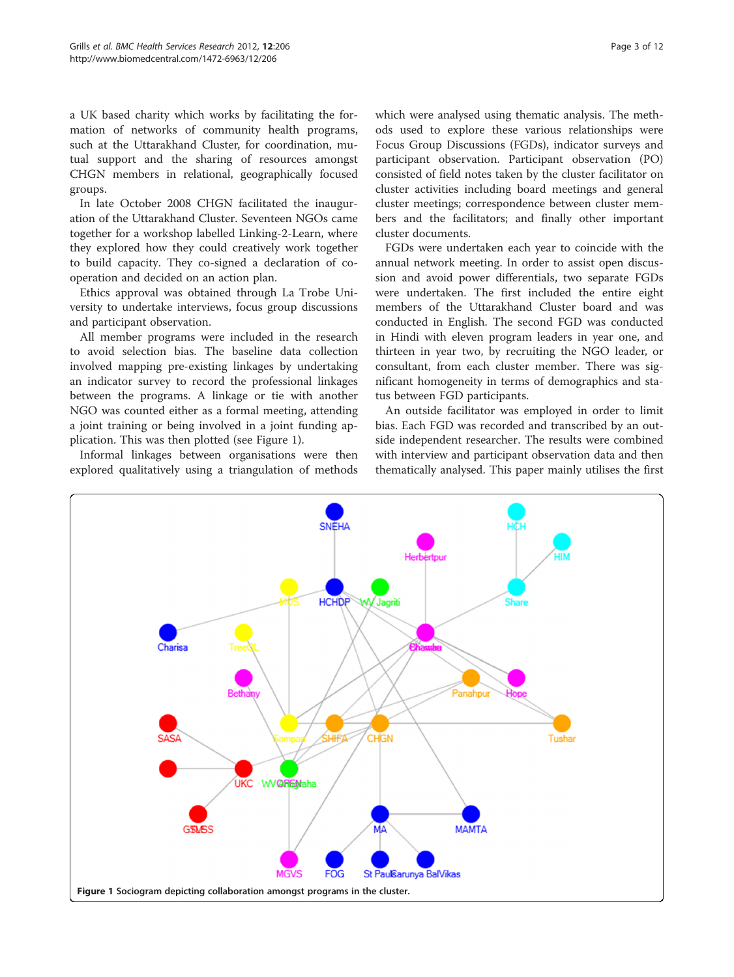<span id="page-2-0"></span>a UK based charity which works by facilitating the formation of networks of community health programs, such at the Uttarakhand Cluster, for coordination, mutual support and the sharing of resources amongst CHGN members in relational, geographically focused groups.

In late October 2008 CHGN facilitated the inauguration of the Uttarakhand Cluster. Seventeen NGOs came together for a workshop labelled Linking-2-Learn, where they explored how they could creatively work together to build capacity. They co-signed a declaration of cooperation and decided on an action plan.

Ethics approval was obtained through La Trobe University to undertake interviews, focus group discussions and participant observation.

All member programs were included in the research to avoid selection bias. The baseline data collection involved mapping pre-existing linkages by undertaking an indicator survey to record the professional linkages between the programs. A linkage or tie with another NGO was counted either as a formal meeting, attending a joint training or being involved in a joint funding application. This was then plotted (see Figure 1).

Informal linkages between organisations were then explored qualitatively using a triangulation of methods which were analysed using thematic analysis. The methods used to explore these various relationships were Focus Group Discussions (FGDs), indicator surveys and participant observation. Participant observation (PO) consisted of field notes taken by the cluster facilitator on cluster activities including board meetings and general cluster meetings; correspondence between cluster members and the facilitators; and finally other important cluster documents.

FGDs were undertaken each year to coincide with the annual network meeting. In order to assist open discussion and avoid power differentials, two separate FGDs were undertaken. The first included the entire eight members of the Uttarakhand Cluster board and was conducted in English. The second FGD was conducted in Hindi with eleven program leaders in year one, and thirteen in year two, by recruiting the NGO leader, or consultant, from each cluster member. There was significant homogeneity in terms of demographics and status between FGD participants.

An outside facilitator was employed in order to limit bias. Each FGD was recorded and transcribed by an outside independent researcher. The results were combined with interview and participant observation data and then thematically analysed. This paper mainly utilises the first

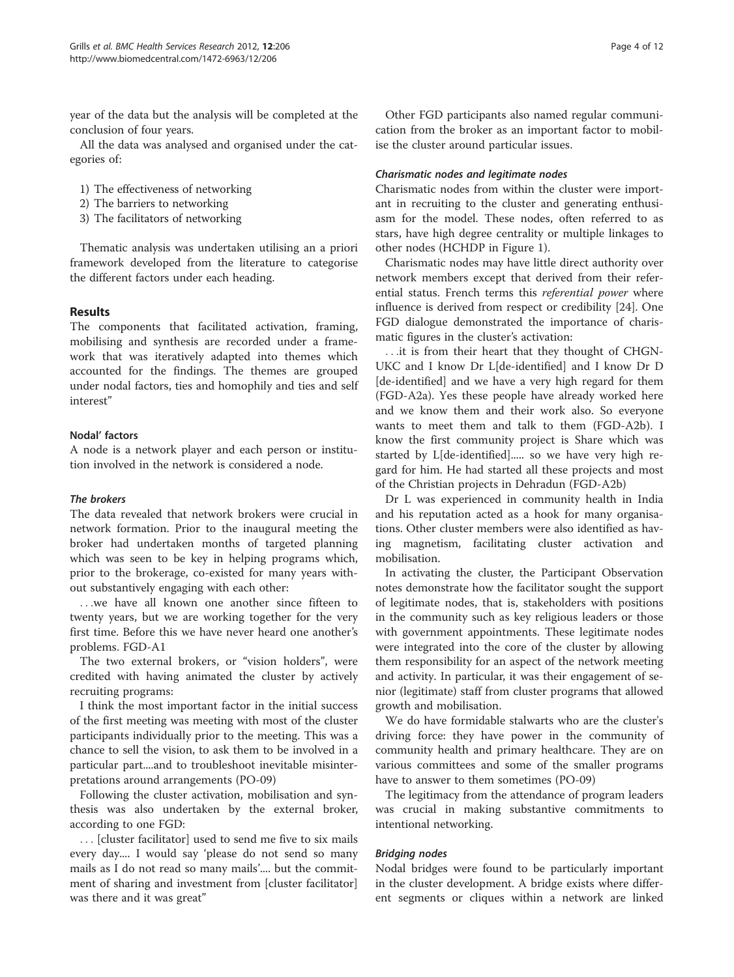year of the data but the analysis will be completed at the conclusion of four years.

All the data was analysed and organised under the categories of:

- 1) The effectiveness of networking
- 2) The barriers to networking
- 3) The facilitators of networking

Thematic analysis was undertaken utilising an a priori framework developed from the literature to categorise the different factors under each heading.

## Results

The components that facilitated activation, framing, mobilising and synthesis are recorded under a framework that was iteratively adapted into themes which accounted for the findings. The themes are grouped under nodal factors, ties and homophily and ties and self interest"

#### Nodal' factors

A node is a network player and each person or institution involved in the network is considered a node.

#### The brokers

The data revealed that network brokers were crucial in network formation. Prior to the inaugural meeting the broker had undertaken months of targeted planning which was seen to be key in helping programs which, prior to the brokerage, co-existed for many years without substantively engaging with each other:

...we have all known one another since fifteen to twenty years, but we are working together for the very first time. Before this we have never heard one another's problems. FGD-A1

The two external brokers, or "vision holders", were credited with having animated the cluster by actively recruiting programs:

I think the most important factor in the initial success of the first meeting was meeting with most of the cluster participants individually prior to the meeting. This was a chance to sell the vision, to ask them to be involved in a particular part....and to troubleshoot inevitable misinterpretations around arrangements (PO-09)

Following the cluster activation, mobilisation and synthesis was also undertaken by the external broker, according to one FGD:

... [cluster facilitator] used to send me five to six mails every day.... I would say 'please do not send so many mails as I do not read so many mails'.... but the commitment of sharing and investment from [cluster facilitator] was there and it was great"

Other FGD participants also named regular communication from the broker as an important factor to mobilise the cluster around particular issues.

#### Charismatic nodes and legitimate nodes

Charismatic nodes from within the cluster were important in recruiting to the cluster and generating enthusiasm for the model. These nodes, often referred to as stars, have high degree centrality or multiple linkages to other nodes (HCHDP in Figure [1](#page-2-0)).

Charismatic nodes may have little direct authority over network members except that derived from their referential status. French terms this referential power where influence is derived from respect or credibility [[24\]](#page-11-0). One FGD dialogue demonstrated the importance of charismatic figures in the cluster's activation:

...it is from their heart that they thought of CHGN-UKC and I know Dr L[de-identified] and I know Dr D [de-identified] and we have a very high regard for them (FGD-A2a). Yes these people have already worked here and we know them and their work also. So everyone wants to meet them and talk to them (FGD-A2b). I know the first community project is Share which was started by L[de-identified]..... so we have very high regard for him. He had started all these projects and most of the Christian projects in Dehradun (FGD-A2b)

Dr L was experienced in community health in India and his reputation acted as a hook for many organisations. Other cluster members were also identified as having magnetism, facilitating cluster activation and mobilisation.

In activating the cluster, the Participant Observation notes demonstrate how the facilitator sought the support of legitimate nodes, that is, stakeholders with positions in the community such as key religious leaders or those with government appointments. These legitimate nodes were integrated into the core of the cluster by allowing them responsibility for an aspect of the network meeting and activity. In particular, it was their engagement of senior (legitimate) staff from cluster programs that allowed growth and mobilisation.

We do have formidable stalwarts who are the cluster's driving force: they have power in the community of community health and primary healthcare. They are on various committees and some of the smaller programs have to answer to them sometimes (PO-09)

The legitimacy from the attendance of program leaders was crucial in making substantive commitments to intentional networking.

#### Bridging nodes

Nodal bridges were found to be particularly important in the cluster development. A bridge exists where different segments or cliques within a network are linked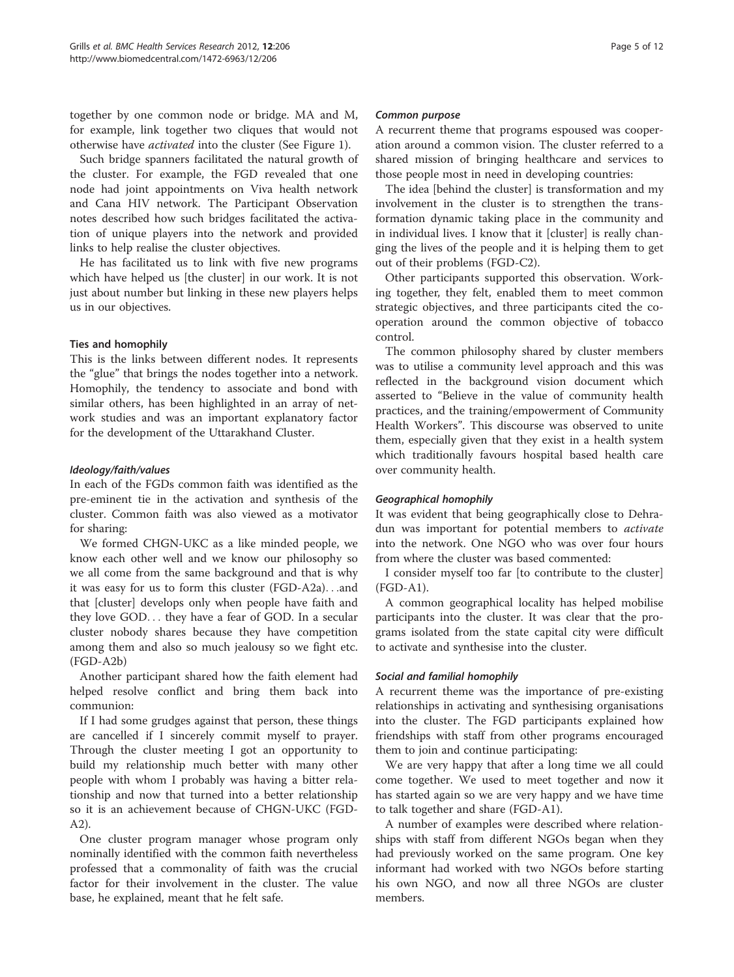together by one common node or bridge. MA and M, for example, link together two cliques that would not otherwise have activated into the cluster (See Figure [1\)](#page-2-0).

Such bridge spanners facilitated the natural growth of the cluster. For example, the FGD revealed that one node had joint appointments on Viva health network and Cana HIV network. The Participant Observation notes described how such bridges facilitated the activation of unique players into the network and provided links to help realise the cluster objectives.

He has facilitated us to link with five new programs which have helped us [the cluster] in our work. It is not just about number but linking in these new players helps us in our objectives.

## Ties and homophily

This is the links between different nodes. It represents the "glue" that brings the nodes together into a network. Homophily, the tendency to associate and bond with similar others, has been highlighted in an array of network studies and was an important explanatory factor for the development of the Uttarakhand Cluster.

## Ideology/faith/values

In each of the FGDs common faith was identified as the pre-eminent tie in the activation and synthesis of the cluster. Common faith was also viewed as a motivator for sharing:

We formed CHGN-UKC as a like minded people, we know each other well and we know our philosophy so we all come from the same background and that is why it was easy for us to form this cluster (FGD-A2a)...and that [cluster] develops only when people have faith and they love GOD... they have a fear of GOD. In a secular cluster nobody shares because they have competition among them and also so much jealousy so we fight etc. (FGD-A2b)

Another participant shared how the faith element had helped resolve conflict and bring them back into communion:

If I had some grudges against that person, these things are cancelled if I sincerely commit myself to prayer. Through the cluster meeting I got an opportunity to build my relationship much better with many other people with whom I probably was having a bitter relationship and now that turned into a better relationship so it is an achievement because of CHGN-UKC (FGD-A2).

One cluster program manager whose program only nominally identified with the common faith nevertheless professed that a commonality of faith was the crucial factor for their involvement in the cluster. The value base, he explained, meant that he felt safe.

## Common purpose

A recurrent theme that programs espoused was cooperation around a common vision. The cluster referred to a shared mission of bringing healthcare and services to those people most in need in developing countries:

The idea [behind the cluster] is transformation and my involvement in the cluster is to strengthen the transformation dynamic taking place in the community and in individual lives. I know that it [cluster] is really changing the lives of the people and it is helping them to get out of their problems (FGD-C2).

Other participants supported this observation. Working together, they felt, enabled them to meet common strategic objectives, and three participants cited the cooperation around the common objective of tobacco control.

The common philosophy shared by cluster members was to utilise a community level approach and this was reflected in the background vision document which asserted to "Believe in the value of community health practices, and the training/empowerment of Community Health Workers". This discourse was observed to unite them, especially given that they exist in a health system which traditionally favours hospital based health care over community health.

## Geographical homophily

It was evident that being geographically close to Dehradun was important for potential members to activate into the network. One NGO who was over four hours from where the cluster was based commented:

I consider myself too far [to contribute to the cluster] (FGD-A1).

A common geographical locality has helped mobilise participants into the cluster. It was clear that the programs isolated from the state capital city were difficult to activate and synthesise into the cluster.

## Social and familial homophily

A recurrent theme was the importance of pre-existing relationships in activating and synthesising organisations into the cluster. The FGD participants explained how friendships with staff from other programs encouraged them to join and continue participating:

We are very happy that after a long time we all could come together. We used to meet together and now it has started again so we are very happy and we have time to talk together and share (FGD-A1).

A number of examples were described where relationships with staff from different NGOs began when they had previously worked on the same program. One key informant had worked with two NGOs before starting his own NGO, and now all three NGOs are cluster members.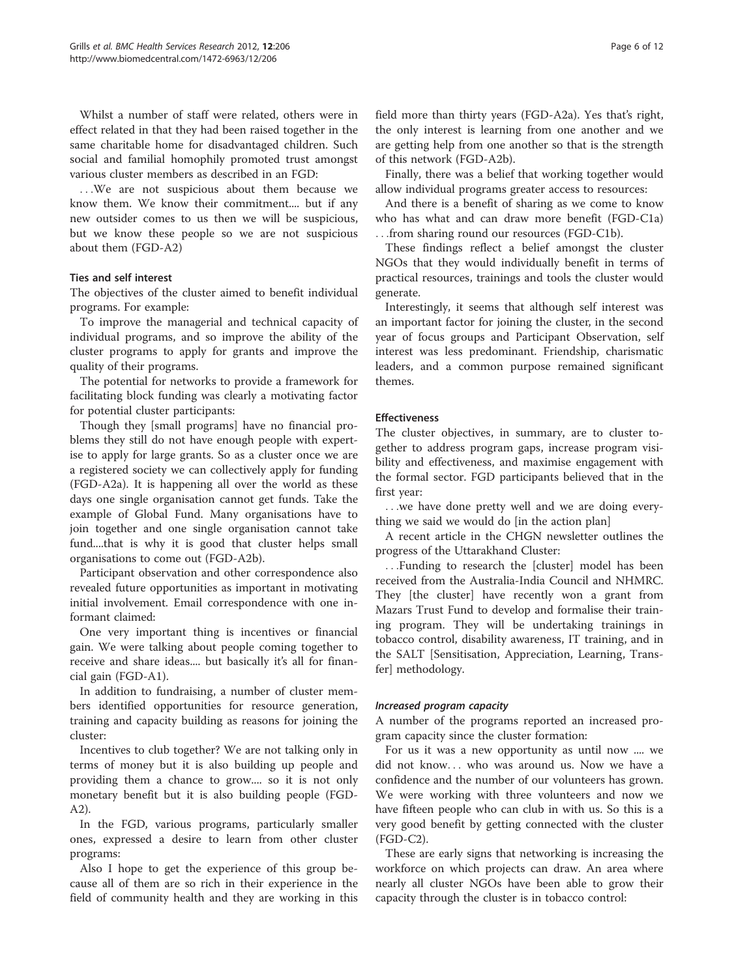Whilst a number of staff were related, others were in effect related in that they had been raised together in the same charitable home for disadvantaged children. Such social and familial homophily promoted trust amongst various cluster members as described in an FGD:

...We are not suspicious about them because we know them. We know their commitment.... but if any new outsider comes to us then we will be suspicious, but we know these people so we are not suspicious about them (FGD-A2)

## Ties and self interest

The objectives of the cluster aimed to benefit individual programs. For example:

To improve the managerial and technical capacity of individual programs, and so improve the ability of the cluster programs to apply for grants and improve the quality of their programs.

The potential for networks to provide a framework for facilitating block funding was clearly a motivating factor for potential cluster participants:

Though they [small programs] have no financial problems they still do not have enough people with expertise to apply for large grants. So as a cluster once we are a registered society we can collectively apply for funding (FGD-A2a). It is happening all over the world as these days one single organisation cannot get funds. Take the example of Global Fund. Many organisations have to join together and one single organisation cannot take fund....that is why it is good that cluster helps small organisations to come out (FGD-A2b).

Participant observation and other correspondence also revealed future opportunities as important in motivating initial involvement. Email correspondence with one informant claimed:

One very important thing is incentives or financial gain. We were talking about people coming together to receive and share ideas.... but basically it's all for financial gain (FGD-A1).

In addition to fundraising, a number of cluster members identified opportunities for resource generation, training and capacity building as reasons for joining the cluster:

Incentives to club together? We are not talking only in terms of money but it is also building up people and providing them a chance to grow.... so it is not only monetary benefit but it is also building people (FGD-A2).

In the FGD, various programs, particularly smaller ones, expressed a desire to learn from other cluster programs:

Also I hope to get the experience of this group because all of them are so rich in their experience in the field of community health and they are working in this field more than thirty years (FGD-A2a). Yes that's right, the only interest is learning from one another and we are getting help from one another so that is the strength of this network (FGD-A2b).

Finally, there was a belief that working together would allow individual programs greater access to resources:

And there is a benefit of sharing as we come to know who has what and can draw more benefit (FGD-C1a) ...from sharing round our resources (FGD-C1b).

These findings reflect a belief amongst the cluster NGOs that they would individually benefit in terms of practical resources, trainings and tools the cluster would generate.

Interestingly, it seems that although self interest was an important factor for joining the cluster, in the second year of focus groups and Participant Observation, self interest was less predominant. Friendship, charismatic leaders, and a common purpose remained significant themes.

## Effectiveness

The cluster objectives, in summary, are to cluster together to address program gaps, increase program visibility and effectiveness, and maximise engagement with the formal sector. FGD participants believed that in the first year:

...we have done pretty well and we are doing everything we said we would do [in the action plan]

A recent article in the CHGN newsletter outlines the progress of the Uttarakhand Cluster:

...Funding to research the [cluster] model has been received from the Australia-India Council and NHMRC. They [the cluster] have recently won a grant from Mazars Trust Fund to develop and formalise their training program. They will be undertaking trainings in tobacco control, disability awareness, IT training, and in the SALT [Sensitisation, Appreciation, Learning, Transfer] methodology.

#### Increased program capacity

A number of the programs reported an increased program capacity since the cluster formation:

For us it was a new opportunity as until now .... we did not know... who was around us. Now we have a confidence and the number of our volunteers has grown. We were working with three volunteers and now we have fifteen people who can club in with us. So this is a very good benefit by getting connected with the cluster (FGD-C2).

These are early signs that networking is increasing the workforce on which projects can draw. An area where nearly all cluster NGOs have been able to grow their capacity through the cluster is in tobacco control: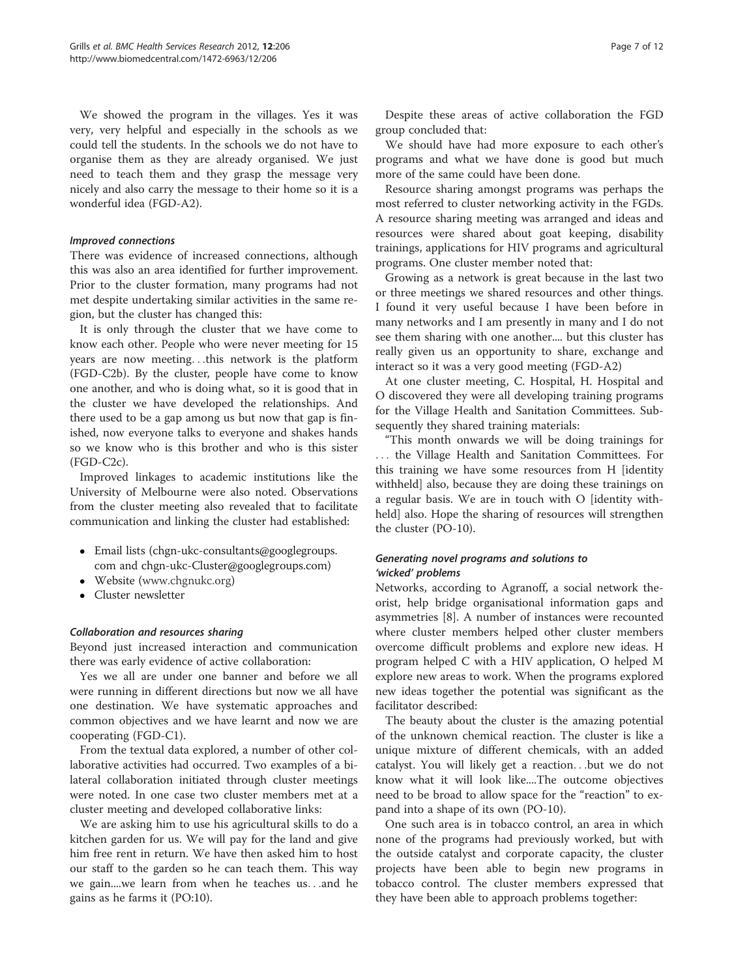We showed the program in the villages. Yes it was very, very helpful and especially in the schools as we could tell the students. In the schools we do not have to organise them as they are already organised. We just need to teach them and they grasp the message very nicely and also carry the message to their home so it is a wonderful idea (FGD-A2).

#### Improved connections

There was evidence of increased connections, although this was also an area identified for further improvement. Prior to the cluster formation, many programs had not met despite undertaking similar activities in the same region, but the cluster has changed this:

It is only through the cluster that we have come to know each other. People who were never meeting for 15 years are now meeting...this network is the platform (FGD-C2b). By the cluster, people have come to know one another, and who is doing what, so it is good that in the cluster we have developed the relationships. And there used to be a gap among us but now that gap is finished, now everyone talks to everyone and shakes hands so we know who is this brother and who is this sister (FGD-C2c).

Improved linkages to academic institutions like the University of Melbourne were also noted. Observations from the cluster meeting also revealed that to facilitate communication and linking the cluster had established:

- Email lists (chgn-ukc-consultants@googlegroups. com and chgn-ukc-Cluster@googlegroups.com)
- Website ([www.chgnukc.org\)](http://www.chgnukc.org)
- Cluster newsletter

#### Collaboration and resources sharing

Beyond just increased interaction and communication there was early evidence of active collaboration:

Yes we all are under one banner and before we all were running in different directions but now we all have one destination. We have systematic approaches and common objectives and we have learnt and now we are cooperating (FGD-C1).

From the textual data explored, a number of other collaborative activities had occurred. Two examples of a bilateral collaboration initiated through cluster meetings were noted. In one case two cluster members met at a cluster meeting and developed collaborative links:

We are asking him to use his agricultural skills to do a kitchen garden for us. We will pay for the land and give him free rent in return. We have then asked him to host our staff to the garden so he can teach them. This way we gain....we learn from when he teaches us...and he gains as he farms it (PO:10).

Despite these areas of active collaboration the FGD group concluded that:

We should have had more exposure to each other's programs and what we have done is good but much more of the same could have been done.

Resource sharing amongst programs was perhaps the most referred to cluster networking activity in the FGDs. A resource sharing meeting was arranged and ideas and resources were shared about goat keeping, disability trainings, applications for HIV programs and agricultural programs. One cluster member noted that:

Growing as a network is great because in the last two or three meetings we shared resources and other things. I found it very useful because I have been before in many networks and I am presently in many and I do not see them sharing with one another.... but this cluster has really given us an opportunity to share, exchange and interact so it was a very good meeting (FGD-A2)

At one cluster meeting, C. Hospital, H. Hospital and O discovered they were all developing training programs for the Village Health and Sanitation Committees. Subsequently they shared training materials:

"This month onwards we will be doing trainings for ... the Village Health and Sanitation Committees. For this training we have some resources from H [identity withheld] also, because they are doing these trainings on a regular basis. We are in touch with O [identity withheld] also. Hope the sharing of resources will strengthen the cluster (PO-10).

## Generating novel programs and solutions to 'wicked' problems

Networks, according to Agranoff, a social network theorist, help bridge organisational information gaps and asymmetries [\[8](#page-11-0)]. A number of instances were recounted where cluster members helped other cluster members overcome difficult problems and explore new ideas. H program helped C with a HIV application, O helped M explore new areas to work. When the programs explored new ideas together the potential was significant as the facilitator described:

The beauty about the cluster is the amazing potential of the unknown chemical reaction. The cluster is like a unique mixture of different chemicals, with an added catalyst. You will likely get a reaction...but we do not know what it will look like....The outcome objectives need to be broad to allow space for the "reaction" to expand into a shape of its own (PO-10).

One such area is in tobacco control, an area in which none of the programs had previously worked, but with the outside catalyst and corporate capacity, the cluster projects have been able to begin new programs in tobacco control. The cluster members expressed that they have been able to approach problems together: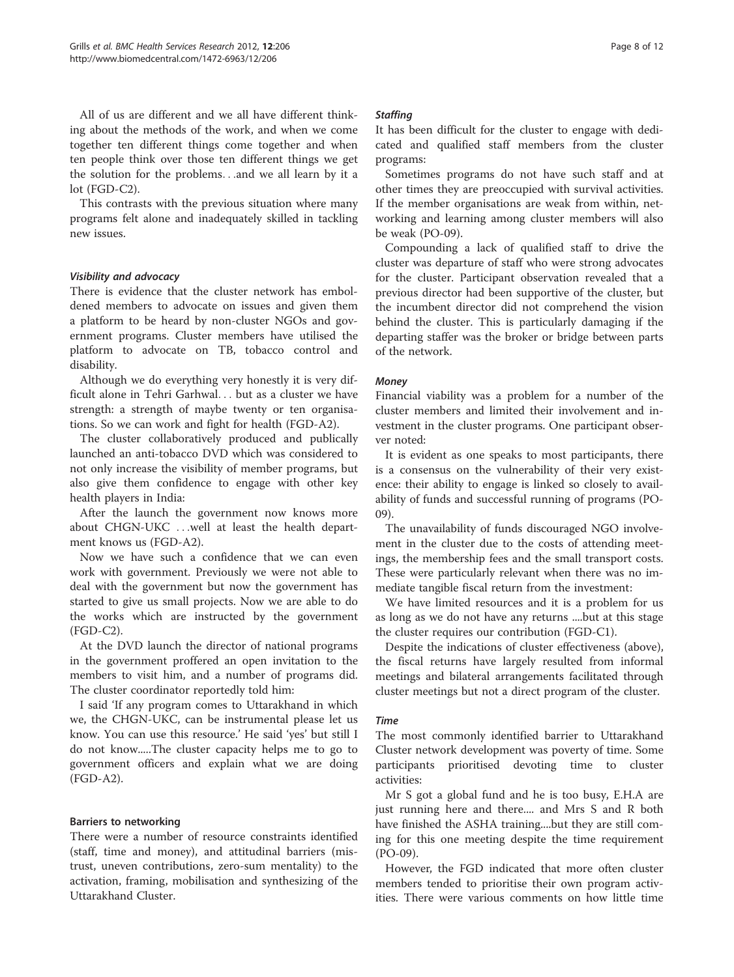All of us are different and we all have different thinking about the methods of the work, and when we come together ten different things come together and when ten people think over those ten different things we get the solution for the problems...and we all learn by it a lot (FGD-C2).

This contrasts with the previous situation where many programs felt alone and inadequately skilled in tackling new issues.

## Visibility and advocacy

There is evidence that the cluster network has emboldened members to advocate on issues and given them a platform to be heard by non-cluster NGOs and government programs. Cluster members have utilised the platform to advocate on TB, tobacco control and disability.

Although we do everything very honestly it is very difficult alone in Tehri Garhwal... but as a cluster we have strength: a strength of maybe twenty or ten organisations. So we can work and fight for health (FGD-A2).

The cluster collaboratively produced and publically launched an anti-tobacco DVD which was considered to not only increase the visibility of member programs, but also give them confidence to engage with other key health players in India:

After the launch the government now knows more about CHGN-UKC ...well at least the health department knows us (FGD-A2).

Now we have such a confidence that we can even work with government. Previously we were not able to deal with the government but now the government has started to give us small projects. Now we are able to do the works which are instructed by the government (FGD-C2).

At the DVD launch the director of national programs in the government proffered an open invitation to the members to visit him, and a number of programs did. The cluster coordinator reportedly told him:

I said 'If any program comes to Uttarakhand in which we, the CHGN-UKC, can be instrumental please let us know. You can use this resource.' He said 'yes' but still I do not know.....The cluster capacity helps me to go to government officers and explain what we are doing (FGD-A2).

#### Barriers to networking

There were a number of resource constraints identified (staff, time and money), and attitudinal barriers (mistrust, uneven contributions, zero-sum mentality) to the activation, framing, mobilisation and synthesizing of the Uttarakhand Cluster.

#### **Staffing**

It has been difficult for the cluster to engage with dedicated and qualified staff members from the cluster programs:

Sometimes programs do not have such staff and at other times they are preoccupied with survival activities. If the member organisations are weak from within, networking and learning among cluster members will also be weak (PO-09).

Compounding a lack of qualified staff to drive the cluster was departure of staff who were strong advocates for the cluster. Participant observation revealed that a previous director had been supportive of the cluster, but the incumbent director did not comprehend the vision behind the cluster. This is particularly damaging if the departing staffer was the broker or bridge between parts of the network.

## **Money**

Financial viability was a problem for a number of the cluster members and limited their involvement and investment in the cluster programs. One participant observer noted:

It is evident as one speaks to most participants, there is a consensus on the vulnerability of their very existence: their ability to engage is linked so closely to availability of funds and successful running of programs (PO-09).

The unavailability of funds discouraged NGO involvement in the cluster due to the costs of attending meetings, the membership fees and the small transport costs. These were particularly relevant when there was no immediate tangible fiscal return from the investment:

We have limited resources and it is a problem for us as long as we do not have any returns ....but at this stage the cluster requires our contribution (FGD-C1).

Despite the indications of cluster effectiveness (above), the fiscal returns have largely resulted from informal meetings and bilateral arrangements facilitated through cluster meetings but not a direct program of the cluster.

## Time

The most commonly identified barrier to Uttarakhand Cluster network development was poverty of time. Some participants prioritised devoting time to cluster activities:

Mr S got a global fund and he is too busy, E.H.A are just running here and there.... and Mrs S and R both have finished the ASHA training....but they are still coming for this one meeting despite the time requirement (PO-09).

However, the FGD indicated that more often cluster members tended to prioritise their own program activities. There were various comments on how little time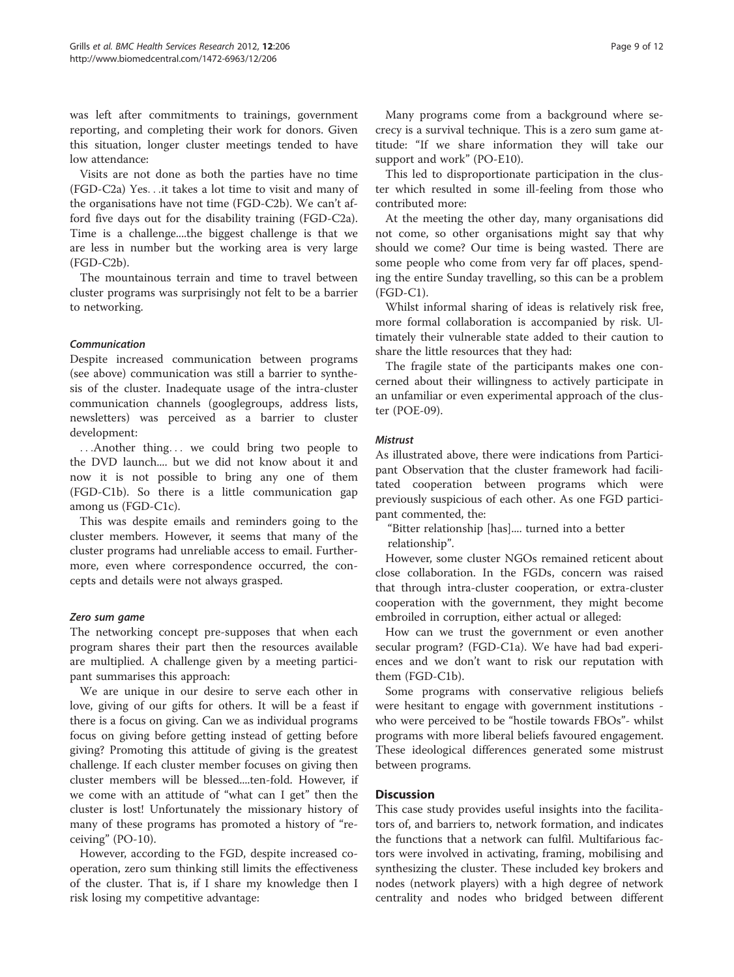was left after commitments to trainings, government reporting, and completing their work for donors. Given this situation, longer cluster meetings tended to have low attendance:

Visits are not done as both the parties have no time (FGD-C2a) Yes...it takes a lot time to visit and many of the organisations have not time (FGD-C2b). We can't afford five days out for the disability training (FGD-C2a). Time is a challenge....the biggest challenge is that we are less in number but the working area is very large (FGD-C2b).

The mountainous terrain and time to travel between cluster programs was surprisingly not felt to be a barrier to networking.

## Communication

Despite increased communication between programs (see above) communication was still a barrier to synthesis of the cluster. Inadequate usage of the intra-cluster communication channels (googlegroups, address lists, newsletters) was perceived as a barrier to cluster development:

...Another thing... we could bring two people to the DVD launch.... but we did not know about it and now it is not possible to bring any one of them (FGD-C1b). So there is a little communication gap among us (FGD-C1c).

This was despite emails and reminders going to the cluster members. However, it seems that many of the cluster programs had unreliable access to email. Furthermore, even where correspondence occurred, the concepts and details were not always grasped.

## Zero sum game

The networking concept pre-supposes that when each program shares their part then the resources available are multiplied. A challenge given by a meeting participant summarises this approach:

We are unique in our desire to serve each other in love, giving of our gifts for others. It will be a feast if there is a focus on giving. Can we as individual programs focus on giving before getting instead of getting before giving? Promoting this attitude of giving is the greatest challenge. If each cluster member focuses on giving then cluster members will be blessed....ten-fold. However, if we come with an attitude of "what can I get" then the cluster is lost! Unfortunately the missionary history of many of these programs has promoted a history of "receiving" (PO-10).

However, according to the FGD, despite increased cooperation, zero sum thinking still limits the effectiveness of the cluster. That is, if I share my knowledge then I risk losing my competitive advantage:

Many programs come from a background where secrecy is a survival technique. This is a zero sum game attitude: "If we share information they will take our support and work" (PO-E10).

This led to disproportionate participation in the cluster which resulted in some ill-feeling from those who contributed more:

At the meeting the other day, many organisations did not come, so other organisations might say that why should we come? Our time is being wasted. There are some people who come from very far off places, spending the entire Sunday travelling, so this can be a problem (FGD-C1).

Whilst informal sharing of ideas is relatively risk free, more formal collaboration is accompanied by risk. Ultimately their vulnerable state added to their caution to share the little resources that they had:

The fragile state of the participants makes one concerned about their willingness to actively participate in an unfamiliar or even experimental approach of the cluster (POE-09).

## **Mistrust**

As illustrated above, there were indications from Participant Observation that the cluster framework had facilitated cooperation between programs which were previously suspicious of each other. As one FGD participant commented, the:

"Bitter relationship [has].... turned into a better relationship".

However, some cluster NGOs remained reticent about close collaboration. In the FGDs, concern was raised that through intra-cluster cooperation, or extra-cluster cooperation with the government, they might become embroiled in corruption, either actual or alleged:

How can we trust the government or even another secular program? (FGD-C1a). We have had bad experiences and we don't want to risk our reputation with them (FGD-C1b).

Some programs with conservative religious beliefs were hesitant to engage with government institutions who were perceived to be "hostile towards FBOs"- whilst programs with more liberal beliefs favoured engagement. These ideological differences generated some mistrust between programs.

## **Discussion**

This case study provides useful insights into the facilitators of, and barriers to, network formation, and indicates the functions that a network can fulfil. Multifarious factors were involved in activating, framing, mobilising and synthesizing the cluster. These included key brokers and nodes (network players) with a high degree of network centrality and nodes who bridged between different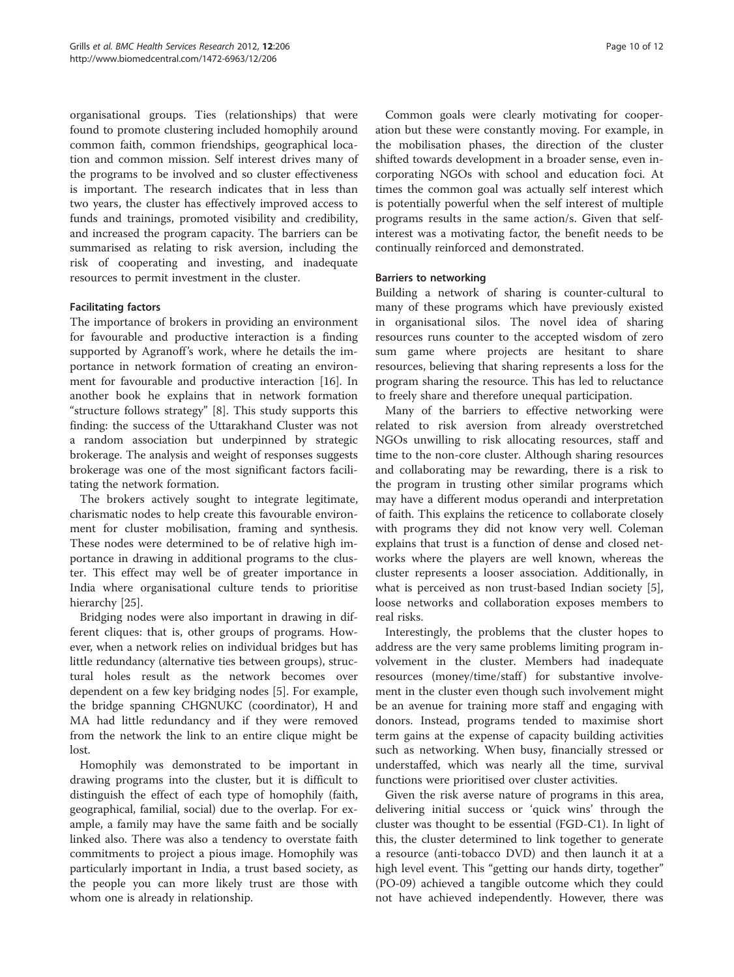organisational groups. Ties (relationships) that were found to promote clustering included homophily around common faith, common friendships, geographical location and common mission. Self interest drives many of the programs to be involved and so cluster effectiveness is important. The research indicates that in less than two years, the cluster has effectively improved access to funds and trainings, promoted visibility and credibility, and increased the program capacity. The barriers can be summarised as relating to risk aversion, including the risk of cooperating and investing, and inadequate resources to permit investment in the cluster.

## Facilitating factors

The importance of brokers in providing an environment for favourable and productive interaction is a finding supported by Agranoff's work, where he details the importance in network formation of creating an environment for favourable and productive interaction [[16](#page-11-0)]. In another book he explains that in network formation "structure follows strategy" [\[8](#page-11-0)]. This study supports this finding: the success of the Uttarakhand Cluster was not a random association but underpinned by strategic brokerage. The analysis and weight of responses suggests brokerage was one of the most significant factors facilitating the network formation.

The brokers actively sought to integrate legitimate, charismatic nodes to help create this favourable environment for cluster mobilisation, framing and synthesis. These nodes were determined to be of relative high importance in drawing in additional programs to the cluster. This effect may well be of greater importance in India where organisational culture tends to prioritise hierarchy [[25\]](#page-11-0).

Bridging nodes were also important in drawing in different cliques: that is, other groups of programs. However, when a network relies on individual bridges but has little redundancy (alternative ties between groups), structural holes result as the network becomes over dependent on a few key bridging nodes [\[5](#page-10-0)]. For example, the bridge spanning CHGNUKC (coordinator), H and MA had little redundancy and if they were removed from the network the link to an entire clique might be lost.

Homophily was demonstrated to be important in drawing programs into the cluster, but it is difficult to distinguish the effect of each type of homophily (faith, geographical, familial, social) due to the overlap. For example, a family may have the same faith and be socially linked also. There was also a tendency to overstate faith commitments to project a pious image. Homophily was particularly important in India, a trust based society, as the people you can more likely trust are those with whom one is already in relationship.

Common goals were clearly motivating for cooperation but these were constantly moving. For example, in the mobilisation phases, the direction of the cluster shifted towards development in a broader sense, even incorporating NGOs with school and education foci. At times the common goal was actually self interest which is potentially powerful when the self interest of multiple programs results in the same action/s. Given that selfinterest was a motivating factor, the benefit needs to be continually reinforced and demonstrated.

## Barriers to networking

Building a network of sharing is counter-cultural to many of these programs which have previously existed in organisational silos. The novel idea of sharing resources runs counter to the accepted wisdom of zero sum game where projects are hesitant to share resources, believing that sharing represents a loss for the program sharing the resource. This has led to reluctance to freely share and therefore unequal participation.

Many of the barriers to effective networking were related to risk aversion from already overstretched NGOs unwilling to risk allocating resources, staff and time to the non-core cluster. Although sharing resources and collaborating may be rewarding, there is a risk to the program in trusting other similar programs which may have a different modus operandi and interpretation of faith. This explains the reticence to collaborate closely with programs they did not know very well. Coleman explains that trust is a function of dense and closed networks where the players are well known, whereas the cluster represents a looser association. Additionally, in what is perceived as non trust-based Indian society [\[5](#page-10-0)], loose networks and collaboration exposes members to real risks.

Interestingly, the problems that the cluster hopes to address are the very same problems limiting program involvement in the cluster. Members had inadequate resources (money/time/staff) for substantive involvement in the cluster even though such involvement might be an avenue for training more staff and engaging with donors. Instead, programs tended to maximise short term gains at the expense of capacity building activities such as networking. When busy, financially stressed or understaffed, which was nearly all the time, survival functions were prioritised over cluster activities.

Given the risk averse nature of programs in this area, delivering initial success or 'quick wins' through the cluster was thought to be essential (FGD-C1). In light of this, the cluster determined to link together to generate a resource (anti-tobacco DVD) and then launch it at a high level event. This "getting our hands dirty, together" (PO-09) achieved a tangible outcome which they could not have achieved independently. However, there was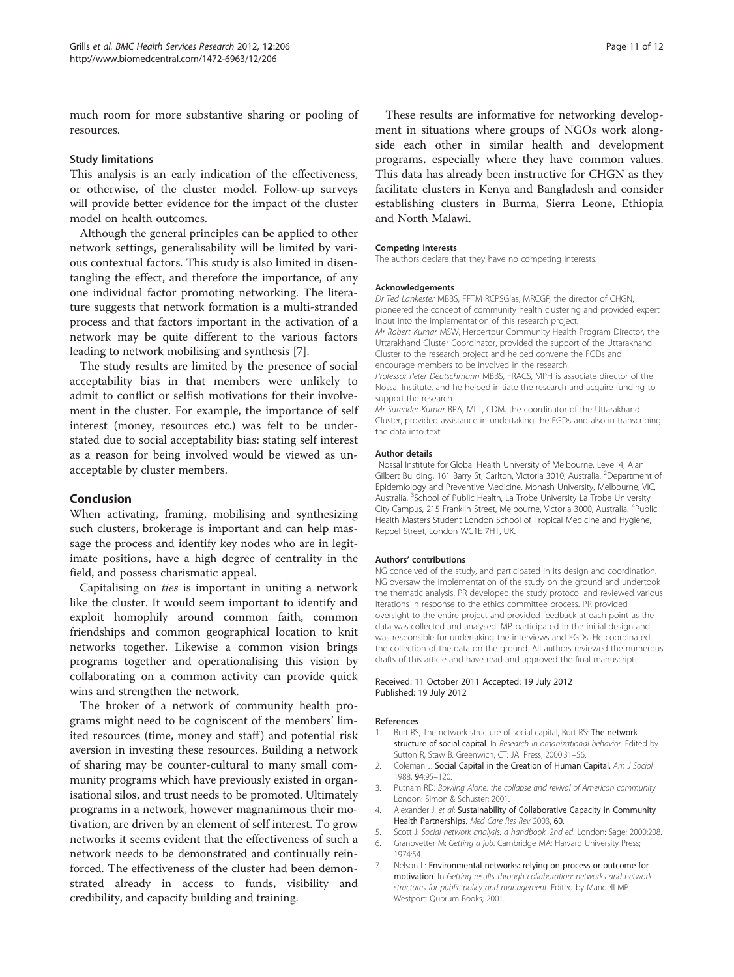<span id="page-10-0"></span>much room for more substantive sharing or pooling of resources.

#### Study limitations

This analysis is an early indication of the effectiveness, or otherwise, of the cluster model. Follow-up surveys will provide better evidence for the impact of the cluster model on health outcomes.

Although the general principles can be applied to other network settings, generalisability will be limited by various contextual factors. This study is also limited in disentangling the effect, and therefore the importance, of any one individual factor promoting networking. The literature suggests that network formation is a multi-stranded process and that factors important in the activation of a network may be quite different to the various factors leading to network mobilising and synthesis [7].

The study results are limited by the presence of social acceptability bias in that members were unlikely to admit to conflict or selfish motivations for their involvement in the cluster. For example, the importance of self interest (money, resources etc.) was felt to be understated due to social acceptability bias: stating self interest as a reason for being involved would be viewed as unacceptable by cluster members.

#### Conclusion

When activating, framing, mobilising and synthesizing such clusters, brokerage is important and can help massage the process and identify key nodes who are in legitimate positions, have a high degree of centrality in the field, and possess charismatic appeal.

Capitalising on ties is important in uniting a network like the cluster. It would seem important to identify and exploit homophily around common faith, common friendships and common geographical location to knit networks together. Likewise a common vision brings programs together and operationalising this vision by collaborating on a common activity can provide quick wins and strengthen the network.

The broker of a network of community health programs might need to be cogniscent of the members' limited resources (time, money and staff) and potential risk aversion in investing these resources. Building a network of sharing may be counter-cultural to many small community programs which have previously existed in organisational silos, and trust needs to be promoted. Ultimately programs in a network, however magnanimous their motivation, are driven by an element of self interest. To grow networks it seems evident that the effectiveness of such a network needs to be demonstrated and continually reinforced. The effectiveness of the cluster had been demonstrated already in access to funds, visibility and credibility, and capacity building and training.

These results are informative for networking development in situations where groups of NGOs work alongside each other in similar health and development programs, especially where they have common values. This data has already been instructive for CHGN as they facilitate clusters in Kenya and Bangladesh and consider establishing clusters in Burma, Sierra Leone, Ethiopia and North Malawi.

#### Competing interests

The authors declare that they have no competing interests.

#### Acknowledgements

Dr Ted Lankester MBBS, FFTM RCPSGlas, MRCGP, the director of CHGN, pioneered the concept of community health clustering and provided expert input into the implementation of this research project. Mr Robert Kumar MSW, Herbertpur Community Health Program Director, the Uttarakhand Cluster Coordinator, provided the support of the Uttarakhand Cluster to the research project and helped convene the FGDs and encourage members to be involved in the research. Professor Peter Deutschmann MBBS, FRACS, MPH is associate director of the Nossal Institute, and he helped initiate the research and acquire funding to support the research. Mr Surender Kumar BPA, MLT, CDM, the coordinator of the Uttarakhand

Cluster, provided assistance in undertaking the FGDs and also in transcribing the data into text.

#### Author details

<sup>1</sup>Nossal Institute for Global Health University of Melbourne, Level 4, Alan Gilbert Building, 161 Barry St, Carlton, Victoria 3010, Australia. <sup>2</sup>Department of Epidemiology and Preventive Medicine, Monash University, Melbourne, VIC, Australia. <sup>3</sup>School of Public Health, La Trobe University La Trobe University City Campus, 215 Franklin Street, Melbourne, Victoria 3000, Australia. <sup>4</sup>Public Health Masters Student London School of Tropical Medicine and Hygiene, Keppel Street, London WC1E 7HT, UK.

#### Authors' contributions

NG conceived of the study, and participated in its design and coordination. NG oversaw the implementation of the study on the ground and undertook the thematic analysis. PR developed the study protocol and reviewed various iterations in response to the ethics committee process. PR provided oversight to the entire project and provided feedback at each point as the data was collected and analysed. MP participated in the initial design and was responsible for undertaking the interviews and FGDs. He coordinated the collection of the data on the ground. All authors reviewed the numerous drafts of this article and have read and approved the final manuscript.

#### Received: 11 October 2011 Accepted: 19 July 2012 Published: 19 July 2012

#### References

- 1. Burt RS, The network structure of social capital, Burt RS: The network structure of social capital. In Research in organizational behavior. Edited by Sutton R, Staw B. Greenwich, CT: JAI Press; 2000:31–56.
- 2. Coleman J: Social Capital in the Creation of Human Capital. Am J Sociol 1988, 94:95–120.
- 3. Putnam RD: Bowling Alone: the collapse and revival of American community. London: Simon & Schuster; 2001.
- 4. Alexander J, et al: Sustainability of Collaborative Capacity in Community Health Partnerships. Med Care Res Rev 2003, 60.
- 5. Scott J: Social network analysis: a handbook. 2nd ed. London: Sage; 2000:208.
- 6. Granovetter M: Getting a job. Cambridge MA: Harvard University Press; 1974:54.
- 7. Nelson L: Environmental networks: relying on process or outcome for motivation. In Getting results through collaboration: networks and network structures for public policy and management. Edited by Mandell MP. Westport: Quorum Books; 2001.